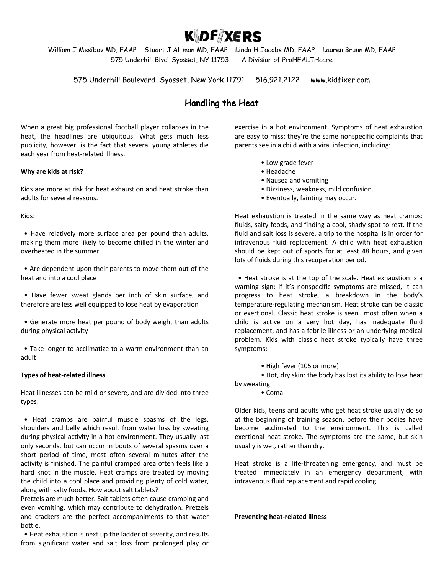**KIDF XERS** 

William J Mesibov MD, FAAP Stuart J Altman MD, FAAP Linda H Jacobs MD, FAAP Lauren Brunn MD, FAAP 575 Underhill Blvd Syosset, NY 11753 A Division of ProHEALTHcare

575 Underhill Boulevard Syosset, New York 11791 516.921.2122 www.kidfixer.com

## Handling the Heat

When a great big professional football player collapses in the heat, the headlines are ubiquitous. What gets much less publicity, however, is the fact that several young athletes die each year from heat-related illness.

## **Why are kids at risk?**

Kids are more at risk for heat exhaustion and heat stroke than adults for several reasons.

Kids:

 • Have relatively more surface area per pound than adults, making them more likely to become chilled in the winter and overheated in the summer.

 • Are dependent upon their parents to move them out of the heat and into a cool place

 • Have fewer sweat glands per inch of skin surface, and therefore are less well equipped to lose heat by evaporation

 • Generate more heat per pound of body weight than adults during physical activity

 • Take longer to acclimatize to a warm environment than an adult

## **Types of heat-related illness**

Heat illnesses can be mild or severe, and are divided into three types:

 • Heat cramps are painful muscle spasms of the legs, shoulders and belly which result from water loss by sweating during physical activity in a hot environment. They usually last only seconds, but can occur in bouts of several spasms over a short period of time, most often several minutes after the activity is finished. The painful cramped area often feels like a hard knot in the muscle. Heat cramps are treated by moving the child into a cool place and providing plenty of cold water, along with salty foods. How about salt tablets?

Pretzels are much better. Salt tablets often cause cramping and even vomiting, which may contribute to dehydration. Pretzels and crackers are the perfect accompaniments to that water bottle.

 • Heat exhaustion is next up the ladder of severity, and results from significant water and salt loss from prolonged play or exercise in a hot environment. Symptoms of heat exhaustion are easy to miss; they're the same nonspecific complaints that parents see in a child with a viral infection, including:

- Low grade fever
- Headache
- Nausea and vomiting
- Dizziness, weakness, mild confusion.
- Eventually, fainting may occur.

Heat exhaustion is treated in the same way as heat cramps: fluids, salty foods, and finding a cool, shady spot to rest. If the fluid and salt loss is severe, a trip to the hospital is in order for intravenous fluid replacement. A child with heat exhaustion should be kept out of sports for at least 48 hours, and given lots of fluids during this recuperation period.

 • Heat stroke is at the top of the scale. Heat exhaustion is a warning sign; if it's nonspecific symptoms are missed, it can progress to heat stroke, a breakdown in the body's temperature-regulating mechanism. Heat stroke can be classic or exertional. Classic heat stroke is seen most often when a child is active on a very hot day, has inadequate fluid replacement, and has a febrile illness or an underlying medical problem. Kids with classic heat stroke typically have three symptoms:

• High fever (105 or more)

• Hot, dry skin: the body has lost its ability to lose heat

by sweating

• Coma

Older kids, teens and adults who get heat stroke usually do so at the beginning of training season, before their bodies have become acclimated to the environment. This is called exertional heat stroke. The symptoms are the same, but skin usually is wet, rather than dry.

Heat stroke is a life-threatening emergency, and must be treated immediately in an emergency department, with intravenous fluid replacement and rapid cooling.

**Preventing heat-related illness**